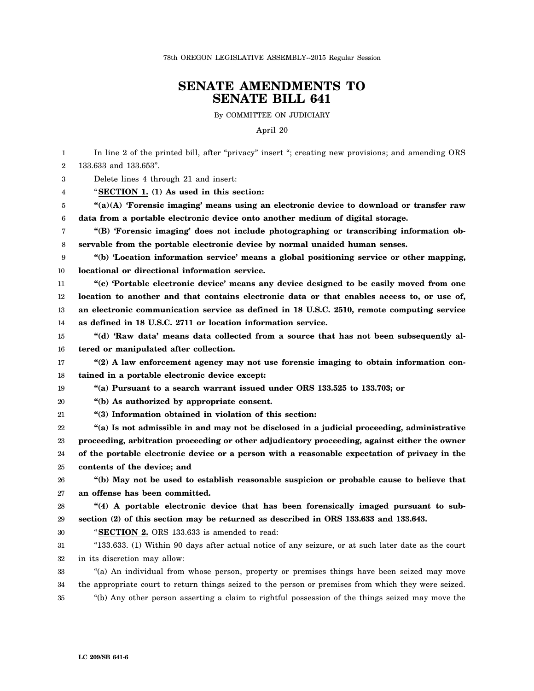## **SENATE AMENDMENTS TO SENATE BILL 641**

By COMMITTEE ON JUDICIARY

April 20

1 2 3 4 5 6 7 8 9 10 11 12 13 14 15 16 17 18 19 20 21 22 23 24 25 26 27 28 29 30 31 32 33 34 35 In line 2 of the printed bill, after "privacy" insert "; creating new provisions; and amending ORS 133.633 and 133.653". Delete lines 4 through 21 and insert: "**SECTION 1. (1) As used in this section: "(a)(A) 'Forensic imaging' means using an electronic device to download or transfer raw data from a portable electronic device onto another medium of digital storage. "(B) 'Forensic imaging' does not include photographing or transcribing information observable from the portable electronic device by normal unaided human senses. "(b) 'Location information service' means a global positioning service or other mapping, locational or directional information service. "(c) 'Portable electronic device' means any device designed to be easily moved from one location to another and that contains electronic data or that enables access to, or use of, an electronic communication service as defined in 18 U.S.C. 2510, remote computing service as defined in 18 U.S.C. 2711 or location information service. "(d) 'Raw data' means data collected from a source that has not been subsequently altered or manipulated after collection. "(2) A law enforcement agency may not use forensic imaging to obtain information contained in a portable electronic device except: "(a) Pursuant to a search warrant issued under ORS 133.525 to 133.703; or "(b) As authorized by appropriate consent. "(3) Information obtained in violation of this section: "(a) Is not admissible in and may not be disclosed in a judicial proceeding, administrative proceeding, arbitration proceeding or other adjudicatory proceeding, against either the owner of the portable electronic device or a person with a reasonable expectation of privacy in the contents of the device; and "(b) May not be used to establish reasonable suspicion or probable cause to believe that an offense has been committed. "(4) A portable electronic device that has been forensically imaged pursuant to subsection (2) of this section may be returned as described in ORS 133.633 and 133.643.** "**SECTION 2.** ORS 133.633 is amended to read: "133.633. (1) Within 90 days after actual notice of any seizure, or at such later date as the court in its discretion may allow: "(a) An individual from whose person, property or premises things have been seized may move the appropriate court to return things seized to the person or premises from which they were seized. "(b) Any other person asserting a claim to rightful possession of the things seized may move the